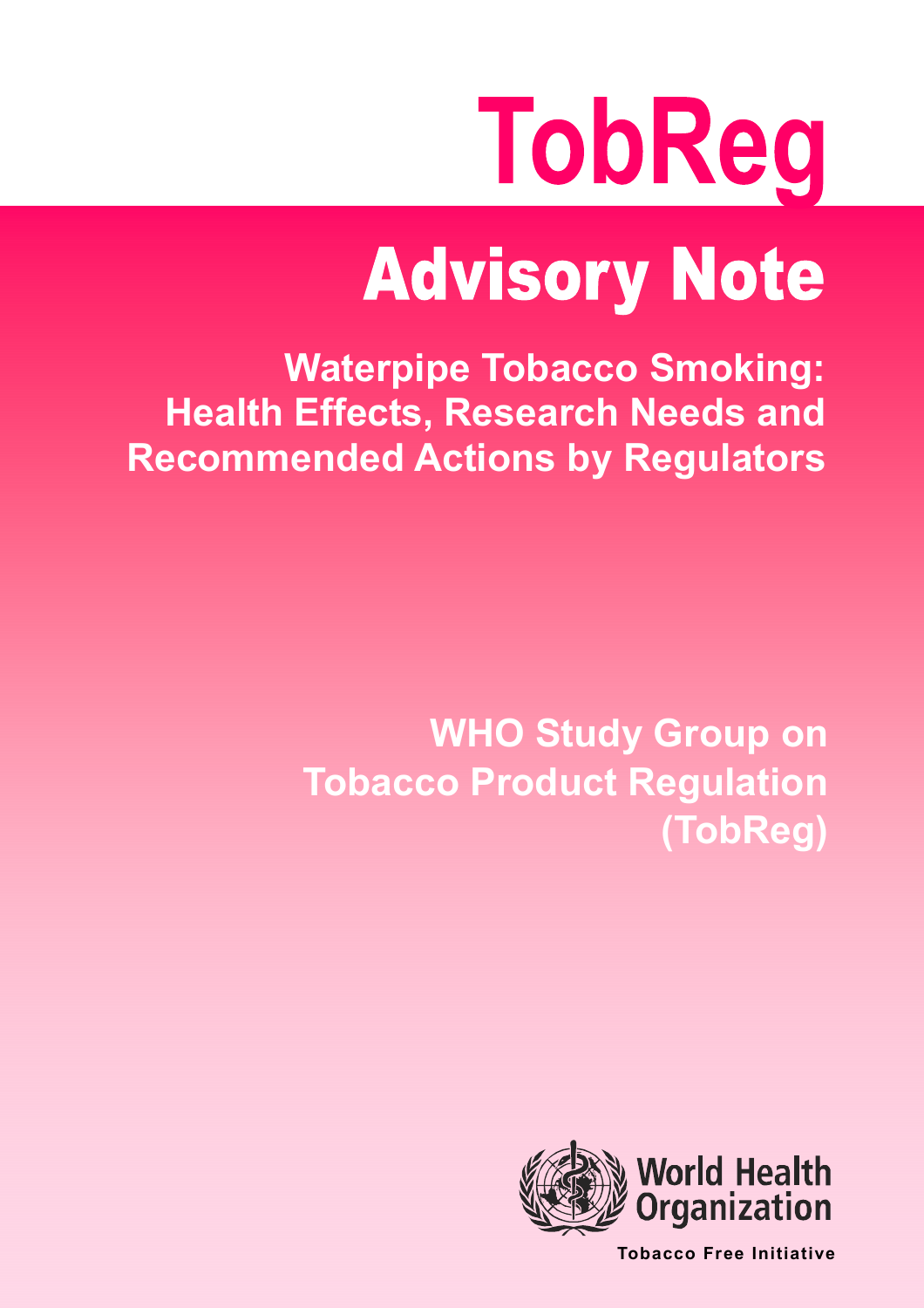# TobReg

## **Advisory Note**

**Waterpipe Tobacco Smoking: Health Effects, Research Needs and Recommended Actions by Regulators** 

> **WHO Study Group on Tobacco Product Regulation** (TobReg)



**Tobacco Free Initiative**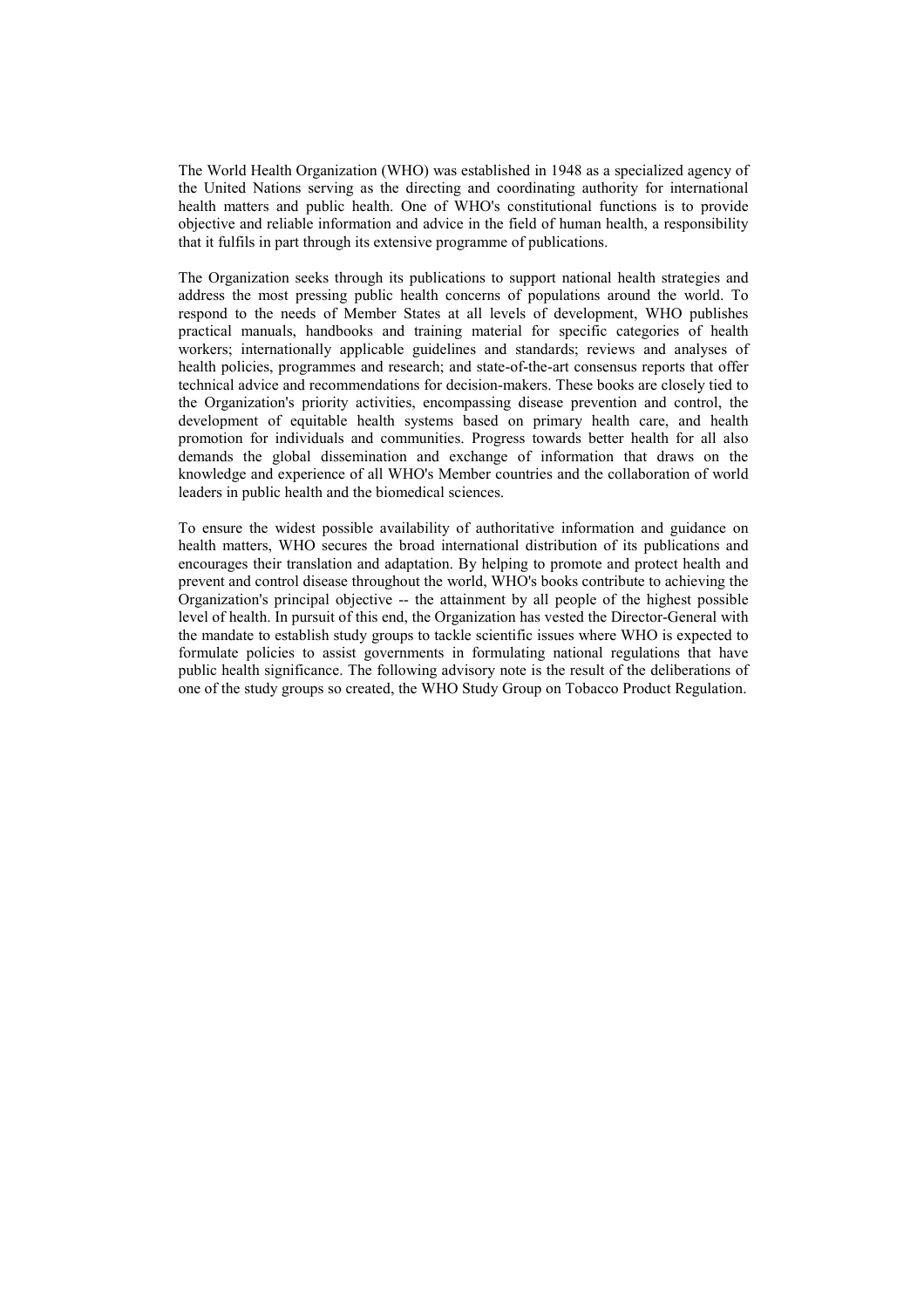The World Health Organization (WHO) was established in 1948 as a specialized agency of the United Nations serving as the directing and coordinating authority for international health matters and public health. One of WHO's constitutional functions is to provide objective and reliable information and advice in the field of human health, a responsibility that it fulfils in part through its extensive programme of publications.

The Organization seeks through its publications to support national health strategies and address the most pressing public health concerns of populations around the world. To respond to the needs of Member States at all levels of development. WHO publishes practical manuals, handbooks and training material for specific categories of health workers; internationally applicable guidelines and standards; reviews and analyses of health policies, programmes and research; and state-of-the-art consensus reports that offer technical advice and recommendations for decision-makers. These books are closely tied to the Organization's priority activities, encompassing disease prevention and control, the development of equitable health systems based on primary health care, and health promotion for individuals and communities. Progress towards better health for all also demands the global dissemination and exchange of information that draws on the knowledge and experience of all WHO's Member countries and the collaboration of world leaders in public health and the biomedical sciences.

To ensure the widest possible availability of authoritative information and guidance on health matters, WHO secures the broad international distribution of its publications and encourages their translation and adaptation. By helping to promote and protect health and prevent and control disease throughout the world, WHO's books contribute to achieving the Organization's principal objective -- the attainment by all people of the highest possible level of health. In pursuit of this end, the Organization has vested the Director-General with the mandate to establish study groups to tackle scientific issues where WHO is expected to formulate policies to assist governments in formulating national regulations that have public health significance. The following advisory note is the result of the deliberations of one of the study groups so created, the WHO Study Group on Tobacco Product Regulation.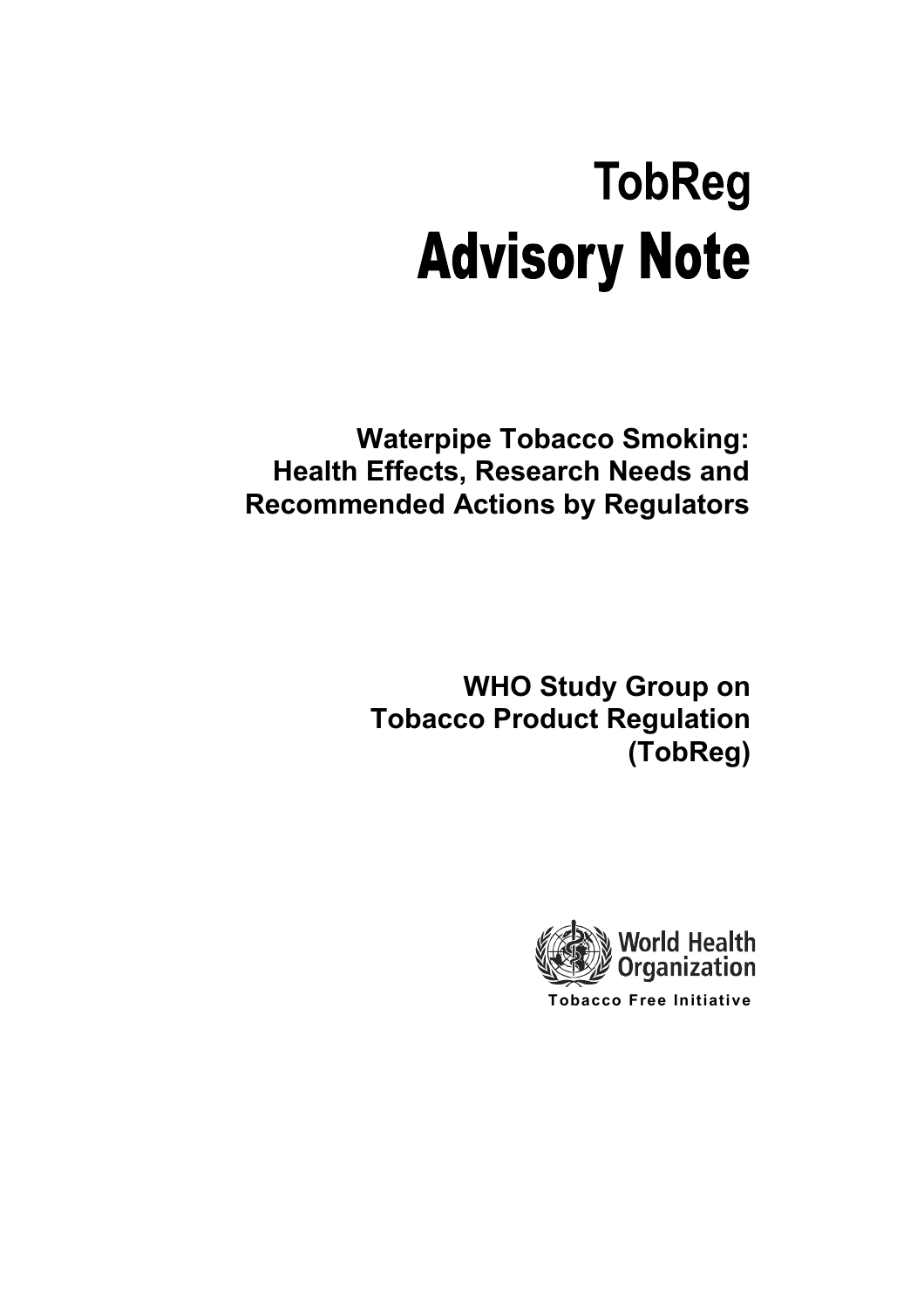### **TobReg Advisory Note**

**Waterpipe Tobacco Smoking: Health Effects, Research Needs and Recommended Actions by Regulators** 

> **WHO Study Group on Tobacco Product Regulation** (TobReg)

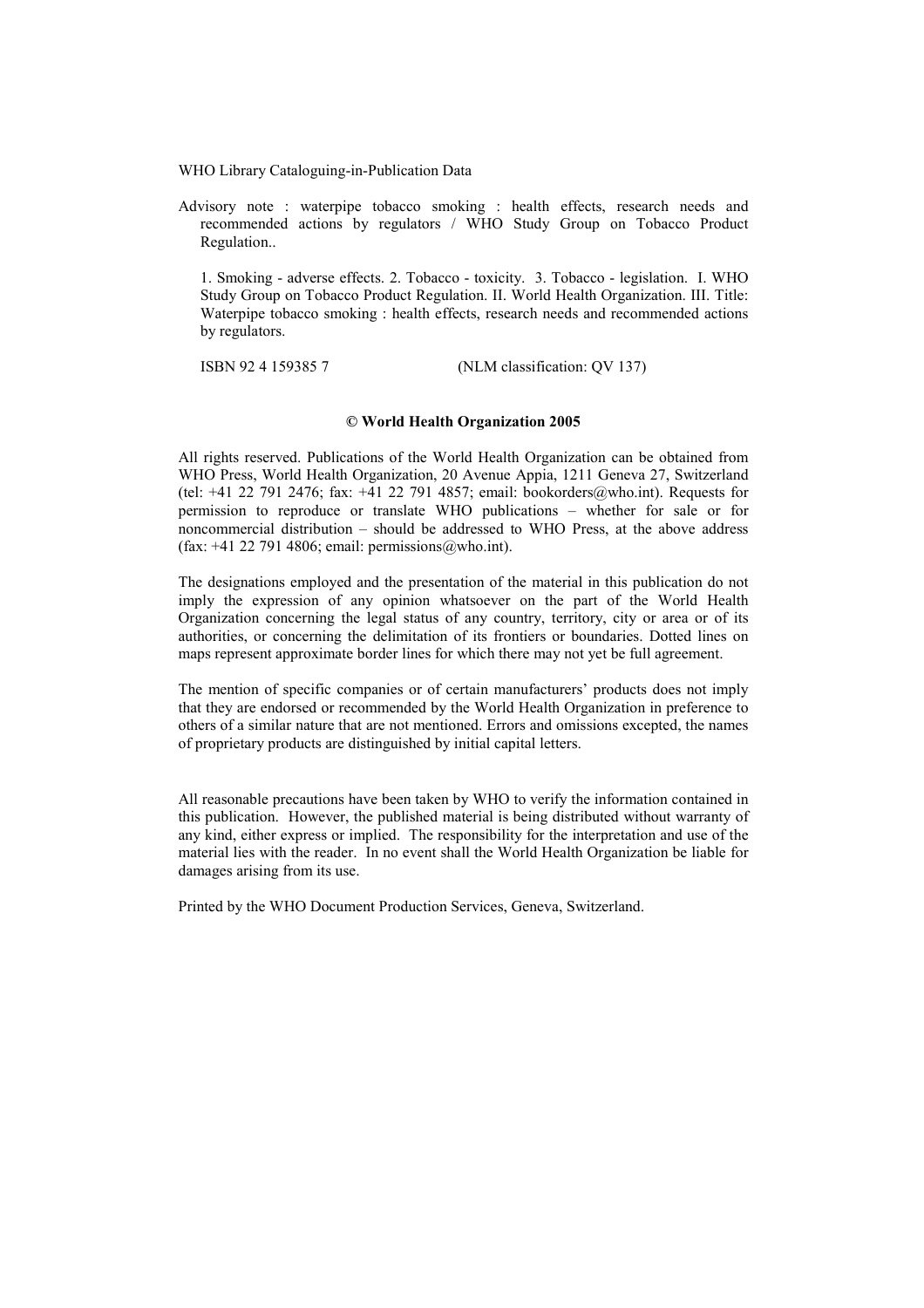WHO Library Cataloguing-in-Publication Data

Advisory note : waterpipe tobacco smoking : health effects, research needs and recommended actions by regulators / WHO Study Group on Tobacco Product Regulation..

1. Smoking - adverse effects. 2. Tobacco - toxicity. 3. Tobacco - legislation. I. WHO Study Group on Tobacco Product Regulation. II. World Health Organization. III. Title: Waterpipe tobacco smoking : health effects, research needs and recommended actions by regulators.

ISBN 9241593857 (NLM classification: OV 137)

#### © World Health Organization 2005

All rights reserved. Publications of the World Health Organization can be obtained from WHO Press, World Health Organization, 20 Avenue Appia, 1211 Geneva 27, Switzerland (tel: +41 22 791 2476; fax: +41 22 791 4857; email: bookorders@who.int). Requests for permission to reproduce or translate WHO publications – whether for sale or for noncommercial distribution – should be addressed to WHO Press, at the above address  $(fax: +41 22 791 4806; email: permissions@who.int).$ 

The designations employed and the presentation of the material in this publication do not imply the expression of any opinion whatsoever on the part of the World Health Organization concerning the legal status of any country, territory, city or area or of its authorities, or concerning the delimitation of its frontiers or boundaries. Dotted lines on maps represent approximate border lines for which there may not yet be full agreement.

The mention of specific companies or of certain manufacturers' products does not imply that they are endorsed or recommended by the World Health Organization in preference to others of a similar nature that are not mentioned. Errors and omissions excepted, the names of proprietary products are distinguished by initial capital letters.

All reasonable precautions have been taken by WHO to verify the information contained in this publication. However, the published material is being distributed without warranty of any kind, either express or implied. The responsibility for the interpretation and use of the material lies with the reader. In no event shall the World Health Organization be liable for damages arising from its use.

Printed by the WHO Document Production Services, Geneva, Switzerland.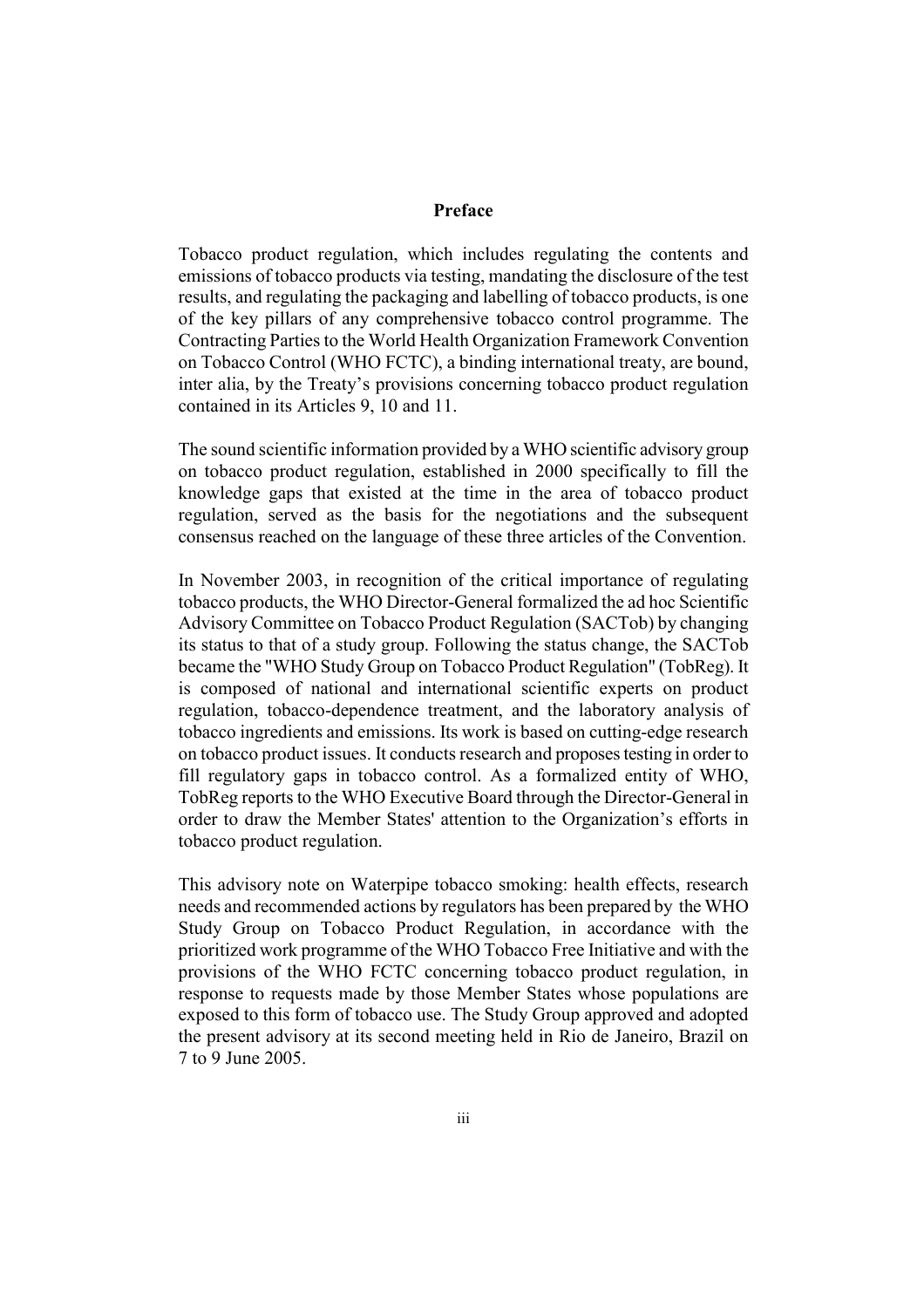#### Preface

Tobacco product regulation, which includes regulating the contents and emissions of tobacco products via testing, mandating the disclosure of the test results, and regulating the packaging and labelling of tobacco products, is one of the key pillars of any comprehensive tobacco control programme. The Contracting Parties to the World Health Organization Framework Convention on Tobacco Control (WHO FCTC), a binding international treaty, are bound, inter alia, by the Treaty's provisions concerning tobacco product regulation contained in its Articles 9, 10 and 11.

The sound scientific information provided by a WHO scientific advisory group on tobacco product regulation, established in 2000 specifically to fill the knowledge gaps that existed at the time in the area of tobacco product regulation, served as the basis for the negotiations and the subsequent consensus reached on the language of these three articles of the Convention.

In November 2003, in recognition of the critical importance of regulating tobacco products, the WHO Director-General formalized the ad hoc Scientific Advisory Committee on Tobacco Product Regulation (SACTob) by changing its status to that of a study group. Following the status change, the SACTob became the "WHO Study Group on Tobacco Product Regulation" (TobReg). It is composed of national and international scientific experts on product regulation, tobacco-dependence treatment, and the laboratory analysis of tobacco ingredients and emissions. Its work is based on cutting-edge research on tobacco product issues. It conducts research and proposes testing in order to fill regulatory gaps in tobacco control. As a formalized entity of WHO, TobReg reports to the WHO Executive Board through the Director-General in order to draw the Member States' attention to the Organization's efforts in tobacco product regulation.

This advisory note on Waterpipe tobacco smoking: health effects, research needs and recommended actions by regulators has been prepared by the WHO Study Group on Tobacco Product Regulation, in accordance with the prioritized work programme of the WHO Tobacco Free Initiative and with the provisions of the WHO FCTC concerning tobacco product regulation, in response to requests made by those Member States whose populations are exposed to this form of tobacco use. The Study Group approved and adopted the present advisory at its second meeting held in Rio de Janeiro, Brazil on 7 to 9 June 2005.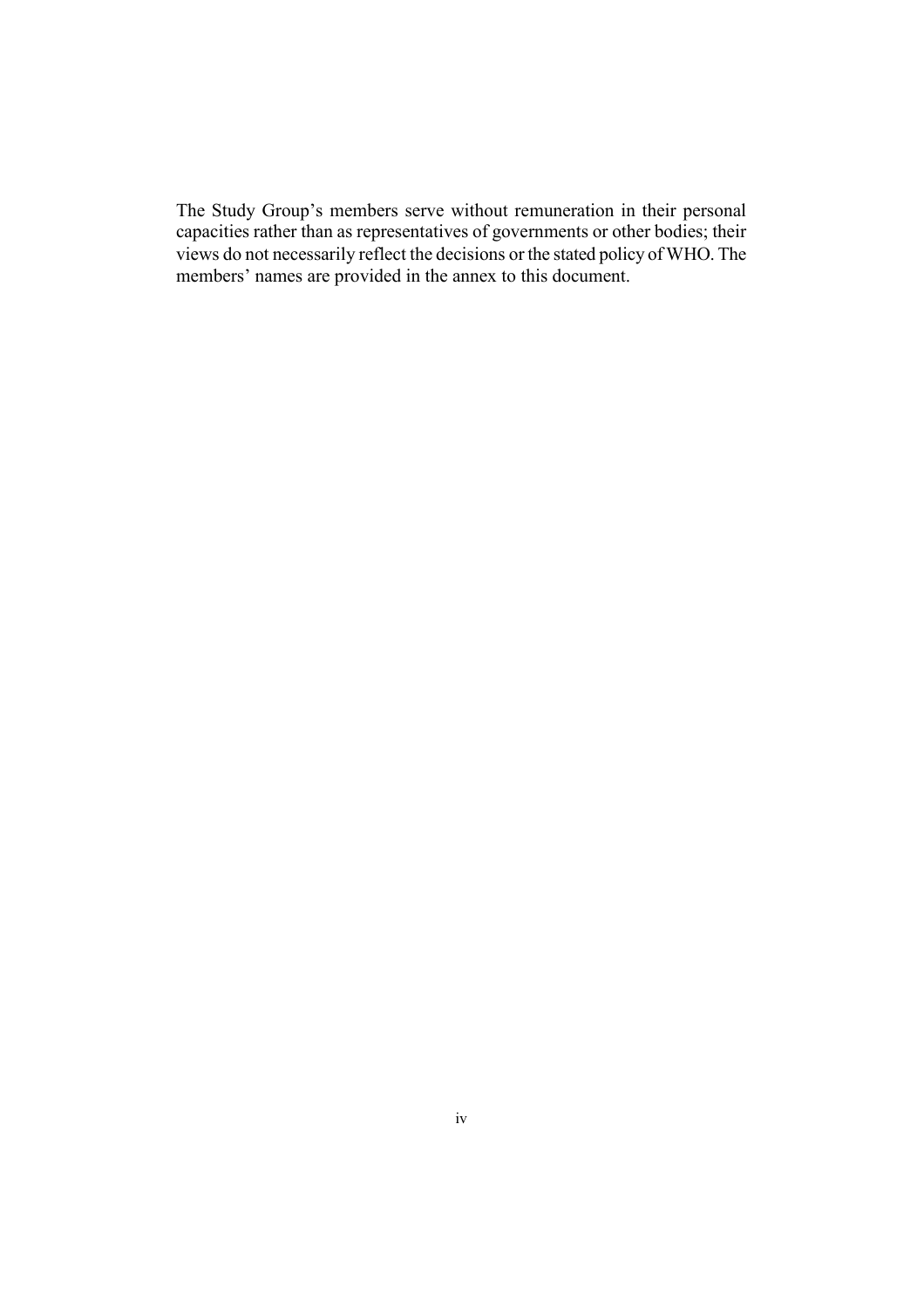The Study Group's members serve without remuneration in their personal capacities rather than as representatives of governments or other bodies; their views do not necessarily reflect the decisions or the stated policy of WHO. The members' names are provided in the annex to this document.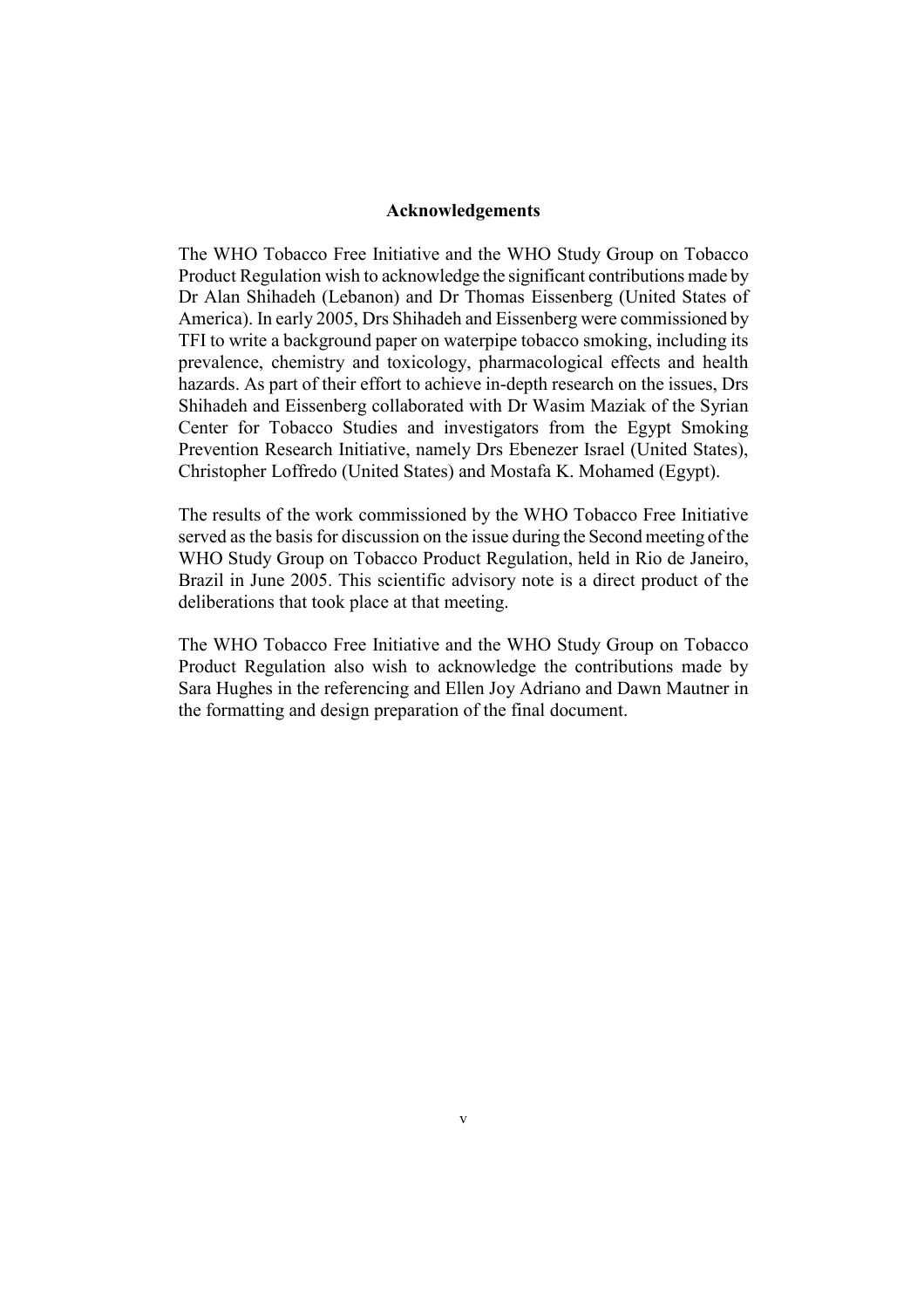#### **Acknowledgements**

The WHO Tobacco Free Initiative and the WHO Study Group on Tobacco Product Regulation wish to acknowledge the significant contributions made by Dr Alan Shihadeh (Lebanon) and Dr Thomas Eissenberg (United States of America). In early 2005, Drs Shihadeh and Eissenberg were commissioned by TFI to write a background paper on waterpipe tobacco smoking, including its prevalence, chemistry and toxicology, pharmacological effects and health hazards. As part of their effort to achieve in-depth research on the issues. Drs Shihadeh and Eissenberg collaborated with Dr Wasim Maziak of the Syrian Center for Tobacco Studies and investigators from the Egypt Smoking Prevention Research Initiative, namely Drs Ebenezer Israel (United States), Christopher Loffredo (United States) and Mostafa K. Mohamed (Egypt).

The results of the work commissioned by the WHO Tobacco Free Initiative served as the basis for discussion on the issue during the Second meeting of the WHO Study Group on Tobacco Product Regulation, held in Rio de Janeiro, Brazil in June 2005. This scientific advisory note is a direct product of the deliberations that took place at that meeting.

The WHO Tobacco Free Initiative and the WHO Study Group on Tobacco Product Regulation also wish to acknowledge the contributions made by Sara Hughes in the referencing and Ellen Joy Adriano and Dawn Mautner in the formatting and design preparation of the final document.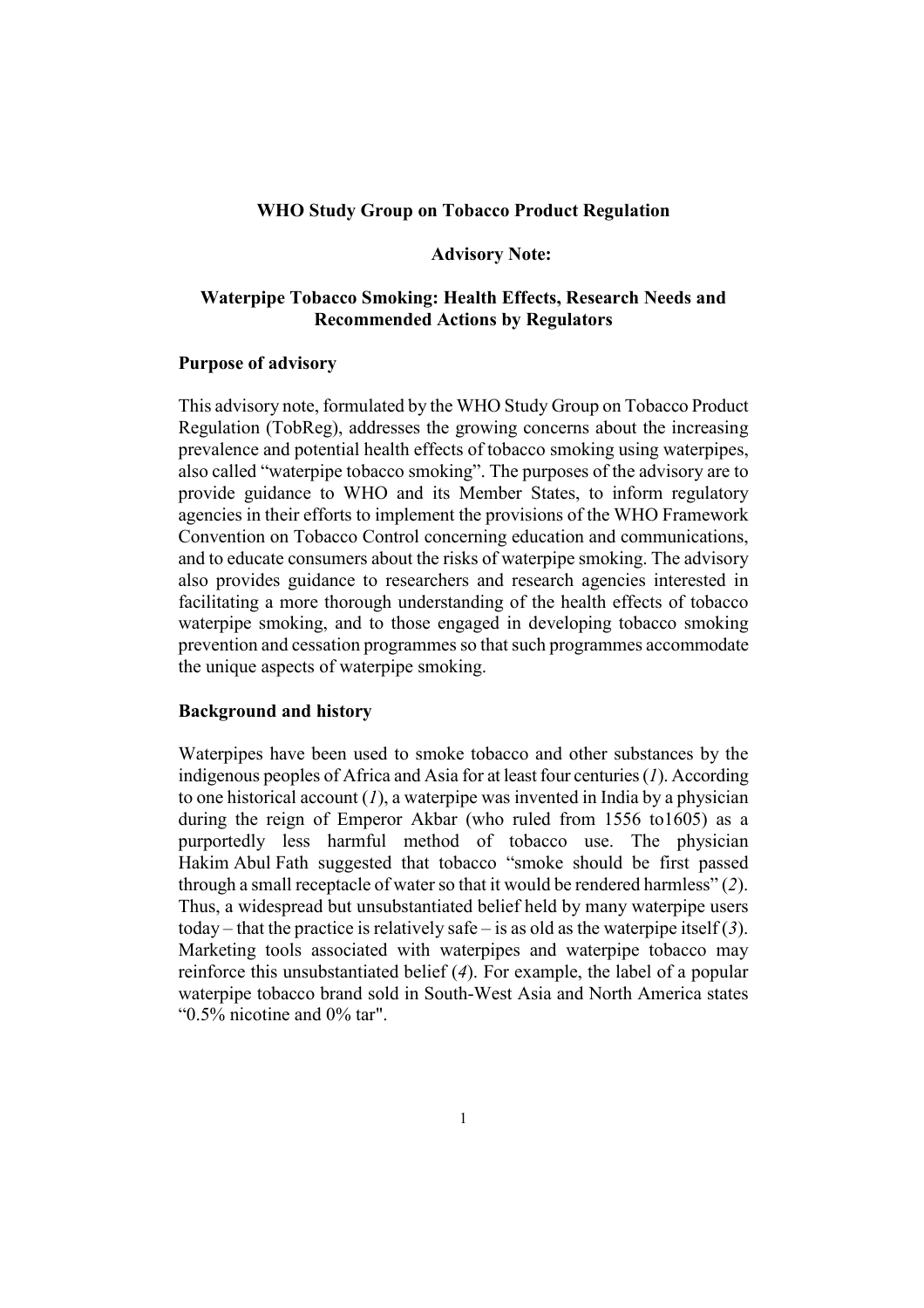#### **WHO Study Group on Tobacco Product Regulation**

#### **Advisory Note:**

#### Waterpipe Tobacco Smoking: Health Effects, Research Needs and **Recommended Actions by Regulators**

#### **Purpose of advisory**

This advisory note, formulated by the WHO Study Group on Tobacco Product Regulation (TobReg), addresses the growing concerns about the increasing prevalence and potential health effects of tobacco smoking using waterpipes. also called "waterpipe tobacco smoking". The purposes of the advisory are to provide guidance to WHO and its Member States, to inform regulatory agencies in their efforts to implement the provisions of the WHO Framework Convention on Tobacco Control concerning education and communications. and to educate consumers about the risks of waterpipe smoking. The advisory also provides guidance to researchers and research agencies interested in facilitating a more thorough understanding of the health effects of tobacco waterpipe smoking, and to those engaged in developing tobacco smoking prevention and cessation programmes so that such programmes accommodate the unique aspects of waterpipe smoking.

#### **Background and history**

Waterpipes have been used to smoke tobacco and other substances by the indigenous peoples of Africa and Asia for at least four centuries  $(I)$ . According to one historical account  $(I)$ , a waterpipe was invented in India by a physician during the reign of Emperor Akbar (who ruled from 1556 to 1605) as a purportedly less harmful method of tobacco use. The physician Hakim Abul Fath suggested that tobacco "smoke should be first passed through a small receptacle of water so that it would be rendered harmless" (2). Thus, a widespread but unsubstantiated belief held by many waterpipe users today – that the practice is relatively safe – is as old as the waterpipe itself  $(3)$ . Marketing tools associated with waterpipes and waterpipe tobacco may reinforce this unsubstantiated belief  $(4)$ . For example, the label of a popular waterpipe tobacco brand sold in South-West Asia and North America states " $0.5\%$  nicotine and  $0\%$  tar".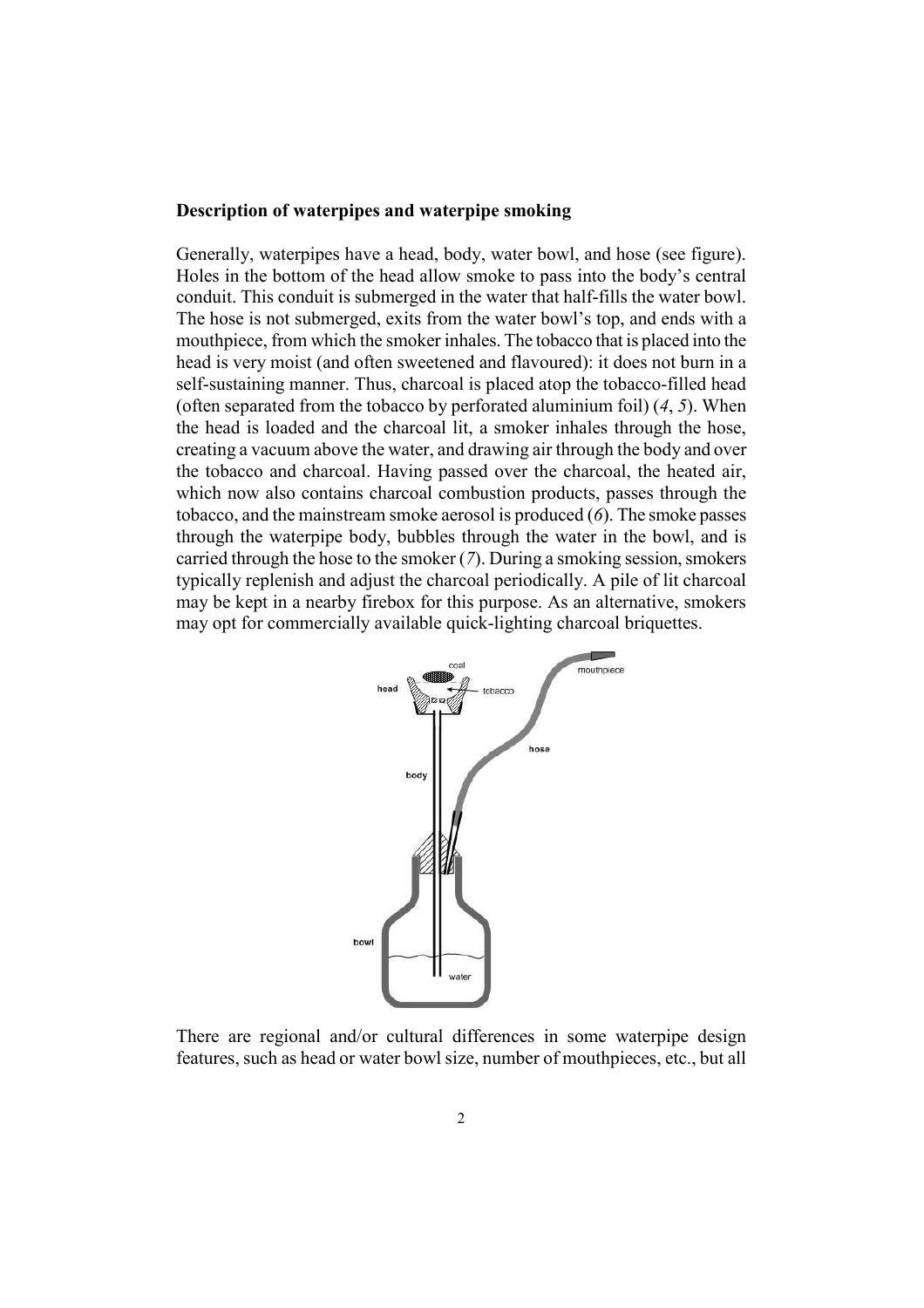#### Description of waterpipes and waterpipe smoking

Generally, waterpipes have a head, body, water bowl, and hose (see figure). Holes in the bottom of the head allow smoke to pass into the body's central conduit. This conduit is submerged in the water that half-fills the water bowl. The hose is not submerged, exits from the water bowl's top, and ends with a mouthpiece, from which the smoker inhales. The tobacco that is placed into the head is very moist (and often sweetened and flavoured): it does not burn in a self-sustaining manner. Thus, charcoal is placed atop the tobacco-filled head (often separated from the tobacco by perforated aluminium foil)  $(4, 5)$ . When the head is loaded and the charcoal lit, a smoker inhales through the hose, creating a vacuum above the water, and drawing air through the body and over the tobacco and charcoal. Having passed over the charcoal, the heated air, which now also contains charcoal combustion products, passes through the tobacco, and the mainstream smoke aerosol is produced  $(6)$ . The smoke passes through the waterpipe body, bubbles through the water in the bowl, and is carried through the hose to the smoker  $(7)$ . During a smoking session, smokers typically replenish and adjust the charcoal periodically. A pile of lit charcoal may be kept in a nearby firebox for this purpose. As an alternative, smokers may opt for commercially available quick-lighting charcoal briquettes.



There are regional and/or cultural differences in some waterpipe design features, such as head or water bowl size, number of mouthpieces, etc., but all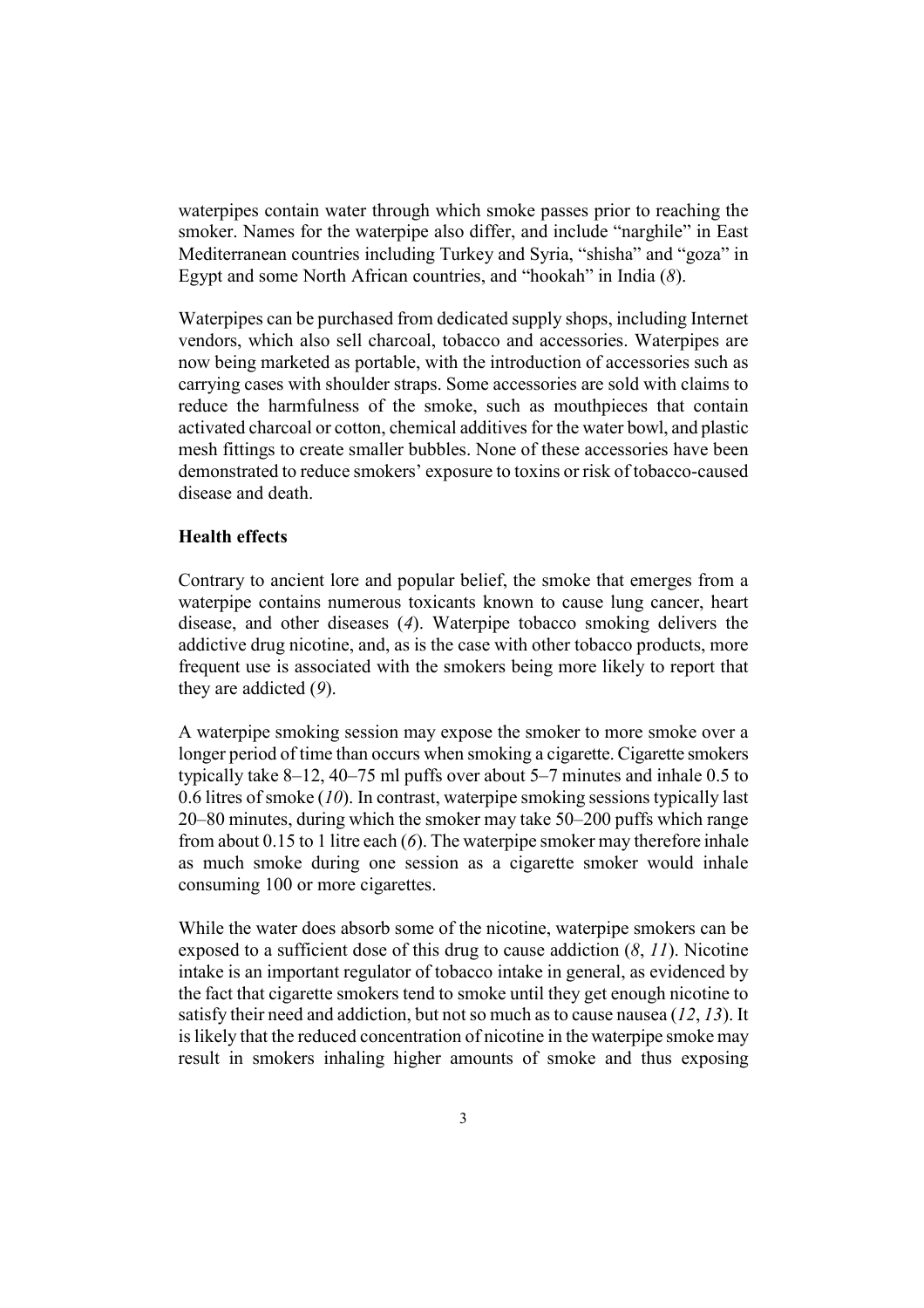waterpipes contain water through which smoke passes prior to reaching the smoker. Names for the waterpipe also differ, and include "narghile" in East Mediterranean countries including Turkey and Syria, "shisha" and "goza" in Egypt and some North African countries, and "hookah" in India  $(8)$ .

Waterpipes can be purchased from dedicated supply shops, including Internet vendors, which also sell charcoal, tobacco and accessories. Waterpipes are now being marketed as portable, with the introduction of accessories such as carrying cases with shoulder straps. Some accessories are sold with claims to reduce the harmfulness of the smoke, such as mouthpieces that contain activated charcoal or cotton, chemical additives for the water bowl, and plastic mesh fittings to create smaller bubbles. None of these accessories have been demonstrated to reduce smokers' exposure to toxins or risk of tobacco-caused disease and death

#### **Health effects**

Contrary to ancient lore and popular belief, the smoke that emerges from a waterpipe contains numerous toxicants known to cause lung cancer, heart disease, and other diseases  $(4)$ . Waterpipe tobacco smoking delivers the addictive drug nicotine, and, as is the case with other tobacco products, more frequent use is associated with the smokers being more likely to report that they are addicted  $(9)$ .

A waterpipe smoking session may expose the smoker to more smoke over a longer period of time than occurs when smoking a cigarette. Cigarette smokers typically take  $8-12$ ,  $40-75$  ml puffs over about  $5-7$  minutes and inhale 0.5 to 0.6 litres of smoke  $(10)$ . In contrast, waterpipe smoking sessions typically last 20–80 minutes, during which the smoker may take 50–200 puffs which range from about 0.15 to 1 litre each  $(6)$ . The waterpipe smoker may therefore inhale as much smoke during one session as a cigarette smoker would inhale consuming 100 or more cigarettes.

While the water does absorb some of the nicotine, waterpipe smokers can be exposed to a sufficient dose of this drug to cause addiction  $(8, 11)$ . Nicotine intake is an important regulator of tobacco intake in general, as evidenced by the fact that cigarette smokers tend to smoke until they get enough nicotine to satisfy their need and addiction, but not so much as to cause nausea  $(12, 13)$ . It is likely that the reduced concentration of nicotine in the waterpipe smoke may result in smokers inhaling higher amounts of smoke and thus exposing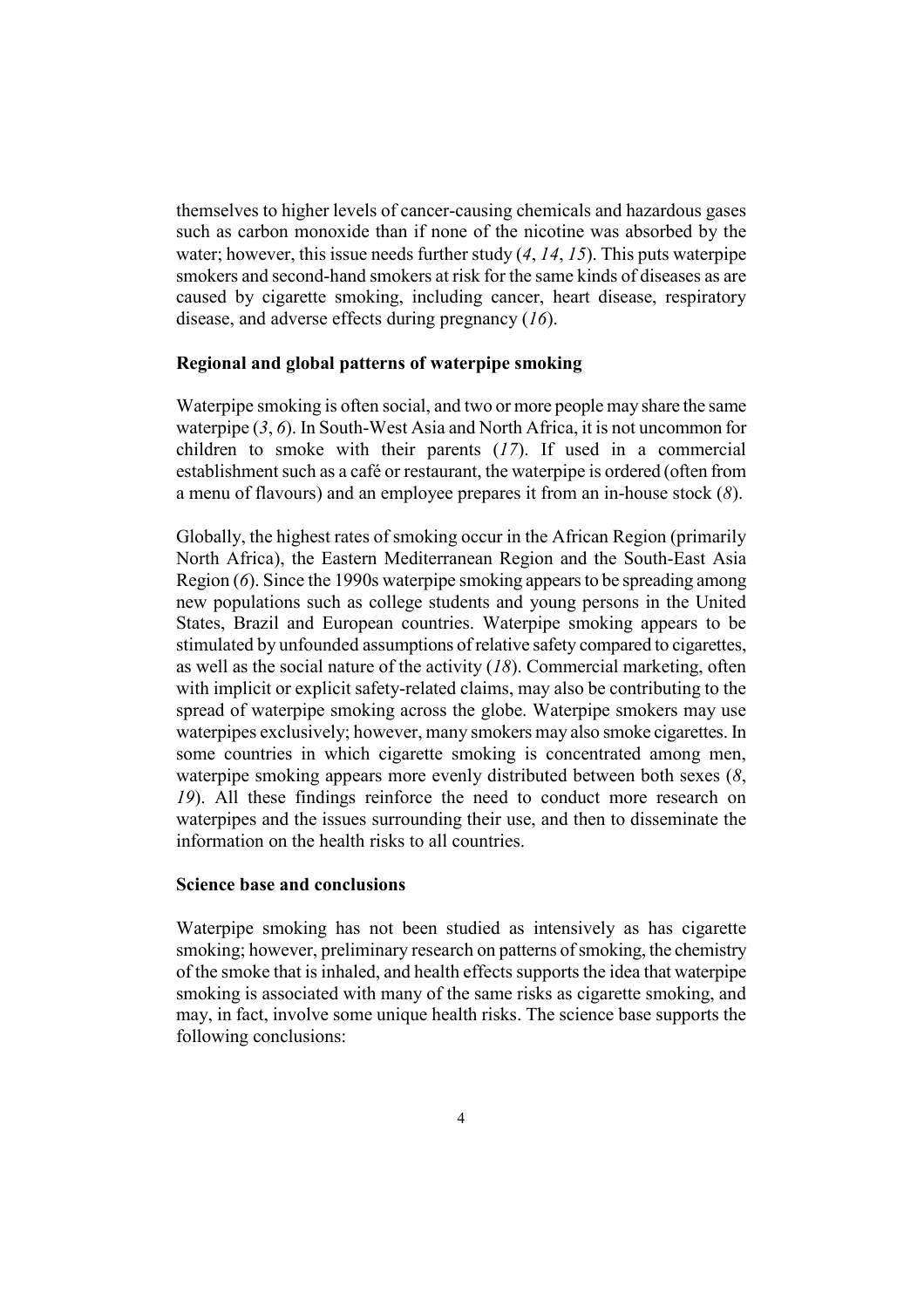themselves to higher levels of cancer-causing chemicals and hazardous gases such as carbon monoxide than if none of the nicotine was absorbed by the water: however, this issue needs further study  $(4, 14, 15)$ . This puts waterpipe smokers and second-hand smokers at risk for the same kinds of diseases as are caused by cigarette smoking, including cancer, heart disease, respiratory disease, and adverse effects during pregnancy  $(16)$ .

#### Regional and global patterns of waterpipe smoking

Waterpipe smoking is often social, and two or more people may share the same waterpipe  $(3, 6)$ . In South-West Asia and North Africa, it is not uncommon for children to smoke with their parents  $(17)$ . If used in a commercial establishment such as a café or restaurant, the waterpipe is ordered (often from a menu of flavours) and an employee prepares it from an in-house stock  $(8)$ .

Globally, the highest rates of smoking occur in the African Region (primarily North Africa), the Eastern Mediterranean Region and the South-East Asia Region (6). Since the 1990s waterpipe smoking appears to be spreading among new populations such as college students and young persons in the United States, Brazil and European countries. Waterpipe smoking appears to be stimulated by unfounded assumptions of relative safety compared to cigarettes, as well as the social nature of the activity  $(18)$ . Commercial marketing, often with implicit or explicit safety-related claims, may also be contributing to the spread of waterpipe smoking across the globe. Waterpipe smokers may use waterpipes exclusively; however, many smokers may also smoke cigarettes. In some countries in which cigarette smoking is concentrated among men, waterpipe smoking appears more evenly distributed between both sexes  $(8, 8)$ 19). All these findings reinforce the need to conduct more research on waterpipes and the issues surrounding their use, and then to disseminate the information on the health risks to all countries.

#### **Science base and conclusions**

Waterpipe smoking has not been studied as intensively as has cigarette smoking; however, preliminary research on patterns of smoking, the chemistry of the smoke that is inhaled, and health effects supports the idea that waterpipe smoking is associated with many of the same risks as cigarette smoking, and may, in fact, involve some unique health risks. The science base supports the following conclusions: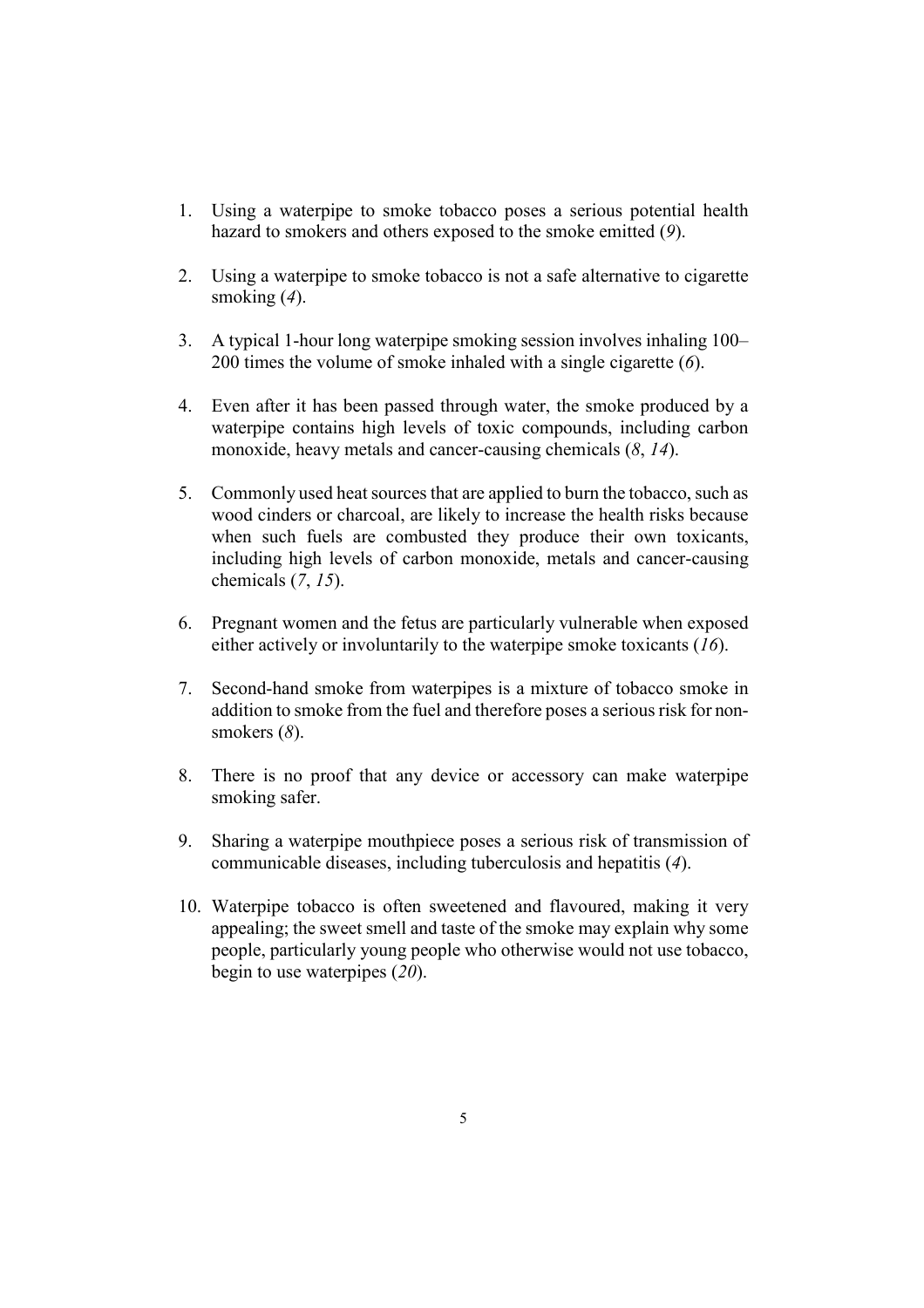- 1. Using a waterpipe to smoke tobacco poses a serious potential health hazard to smokers and others exposed to the smoke emitted  $(9)$ .
- 2. Using a waterpipe to smoke tobacco is not a safe alternative to cigarette smoking  $(4)$ .
- 3. A typical 1-hour long waterpipe smoking session involves inhaling 100– 200 times the volume of smoke inhaled with a single cigarette  $(6)$ .
- 4. Even after it has been passed through water, the smoke produced by a waterpipe contains high levels of toxic compounds, including carbon monoxide, heavy metals and cancer-causing chemicals  $(8, 14)$ .
- 5. Commonly used heat sources that are applied to burn the tobacco, such as wood cinders or charcoal, are likely to increase the health risks because when such fuels are combusted they produce their own toxicants, including high levels of carbon monoxide, metals and cancer-causing chemicals  $(7, 15)$ .
- 6. Pregnant women and the fetus are particularly vulnerable when exposed either actively or involuntarily to the waterpipe smoke toxicants  $(16)$ .
- 7. Second-hand smoke from waterpipes is a mixture of tobacco smoke in addition to smoke from the fuel and therefore poses a serious risk for nonsmokers  $(8)$ .
- 8. There is no proof that any device or accessory can make waterpipe smoking safer.
- Sharing a waterpipe mouthpiece poses a serious risk of transmission of 9. communicable diseases, including tuberculosis and hepatitis (4).
- 10. Waterpipe tobacco is often sweetened and flavoured, making it very appealing; the sweet smell and taste of the smoke may explain why some people, particularly young people who otherwise would not use tobacco, begin to use waterpipes  $(20)$ .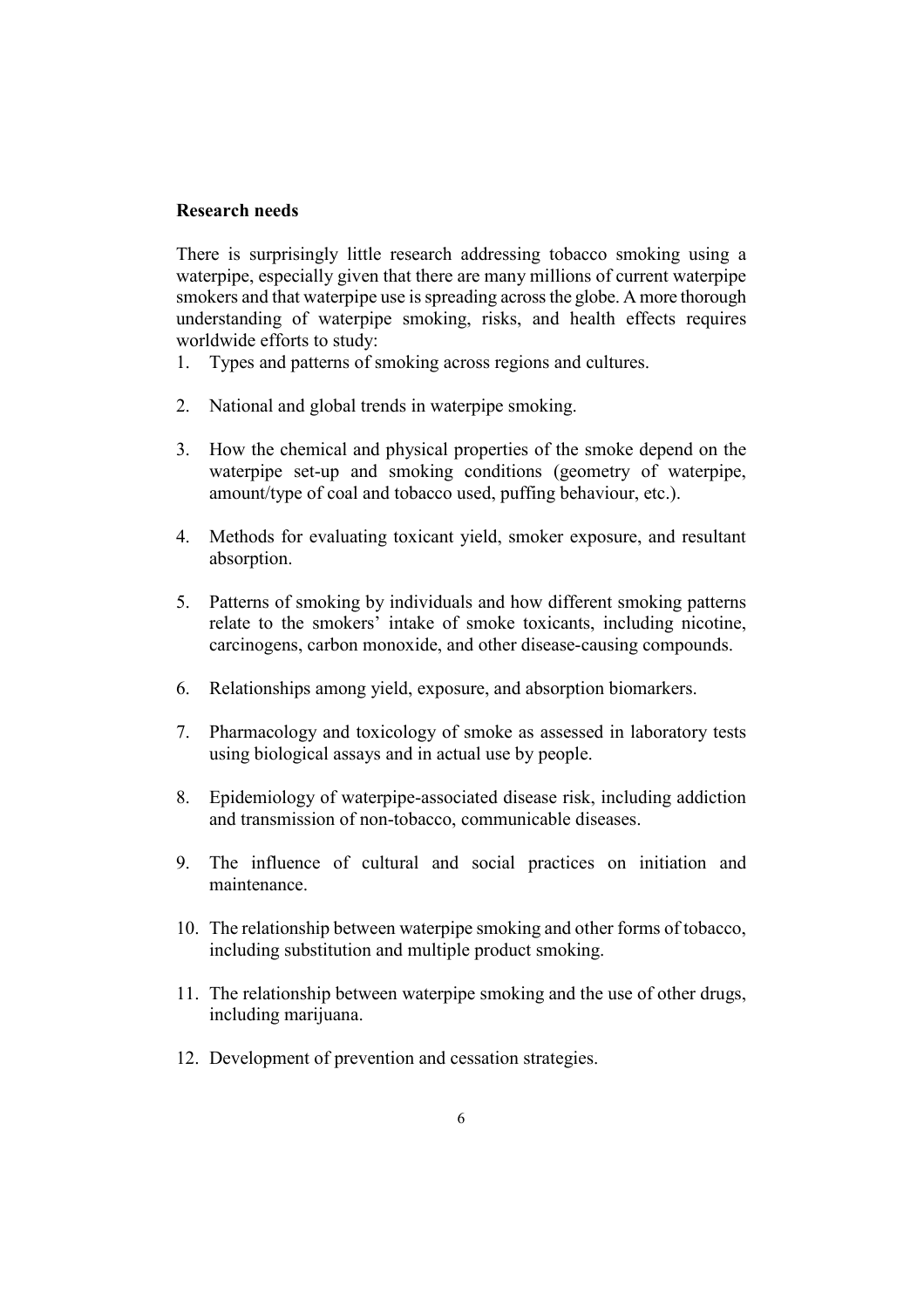#### Research needs

There is surprisingly little research addressing tobacco smoking using a waterpipe, especially given that there are many millions of current waterpipe smokers and that waterpipe use is spreading across the globe. A more thorough understanding of waterpipe smoking, risks, and health effects requires worldwide efforts to study:

- Types and patterns of smoking across regions and cultures. 1.
- 2. National and global trends in waterpipe smoking.
- 3. How the chemical and physical properties of the smoke depend on the waterpipe set-up and smoking conditions (geometry of waterpipe, amount/type of coal and tobacco used, puffing behaviour, etc.).
- 4. Methods for evaluating toxicant yield, smoker exposure, and resultant absorption.
- 5. Patterns of smoking by individuals and how different smoking patterns relate to the smokers' intake of smoke toxicants, including nicotine, carcinogens, carbon monoxide, and other disease-causing compounds.
- 6 Relationships among yield, exposure, and absorption biomarkers.
- $7<sub>1</sub>$ Pharmacology and toxicology of smoke as assessed in laboratory tests using biological assays and in actual use by people.
- 8. Epidemiology of waterpipe-associated disease risk, including addiction and transmission of non-tobacco, communicable diseases.
- 9. The influence of cultural and social practices on initiation and maintenance
- 10. The relationship between waterpipe smoking and other forms of tobacco. including substitution and multiple product smoking.
- 11. The relationship between waterpipe smoking and the use of other drugs, including marijuana.
- 12. Development of prevention and cessation strategies.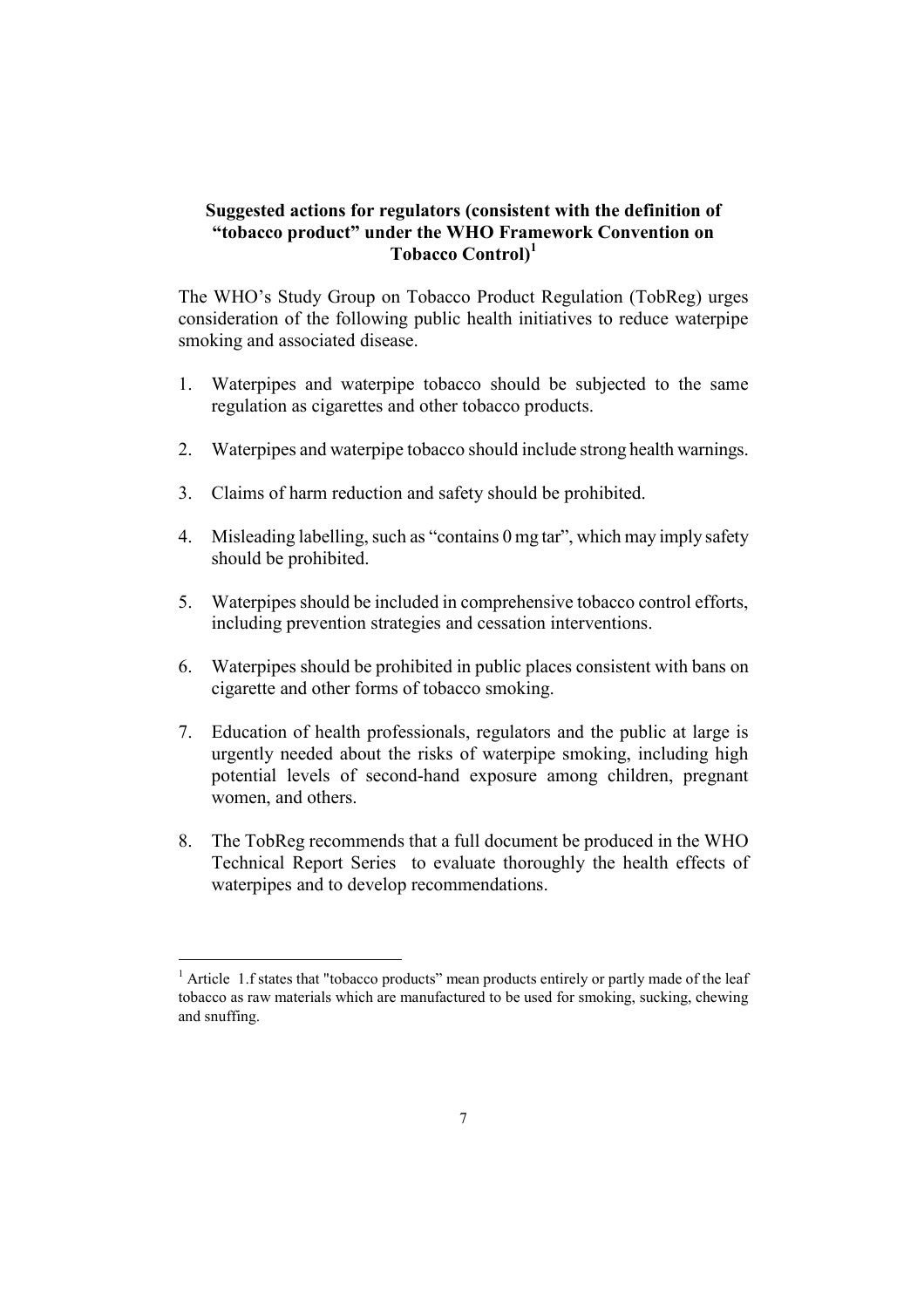#### Suggested actions for regulators (consistent with the definition of "tobacco product" under the WHO Framework Convention on Tobacco Control<sup>1</sup>

The WHO's Study Group on Tobacco Product Regulation (TobReg) urges consideration of the following public health initiatives to reduce waterpipe smoking and associated disease.

- Waterpipes and waterpipe tobacco should be subjected to the same  $1_{-}$ regulation as cigarettes and other tobacco products.
- $2<sup>1</sup>$ Waterpipes and waterpipe tobacco should include strong health warnings.
- 3. Claims of harm reduction and safety should be prohibited.
- Misleading labelling, such as "contains 0 mg tar", which may imply safety  $\overline{4}$ should be prohibited.
- 5. Waterpipes should be included in comprehensive tobacco control efforts, including prevention strategies and cessation interventions.
- 6. Waterpipes should be prohibited in public places consistent with bans on cigarette and other forms of tobacco smoking.
- 7. Education of health professionals, regulators and the public at large is urgently needed about the risks of waterpipe smoking, including high potential levels of second-hand exposure among children, pregnant women, and others.
- 8. The TobReg recommends that a full document be produced in the WHO Technical Report Series to evaluate thoroughly the health effects of waterpipes and to develop recommendations.

 $1$  Article 1.f states that "tobacco products" mean products entirely or partly made of the leaf tobacco as raw materials which are manufactured to be used for smoking, sucking, chewing and snuffing.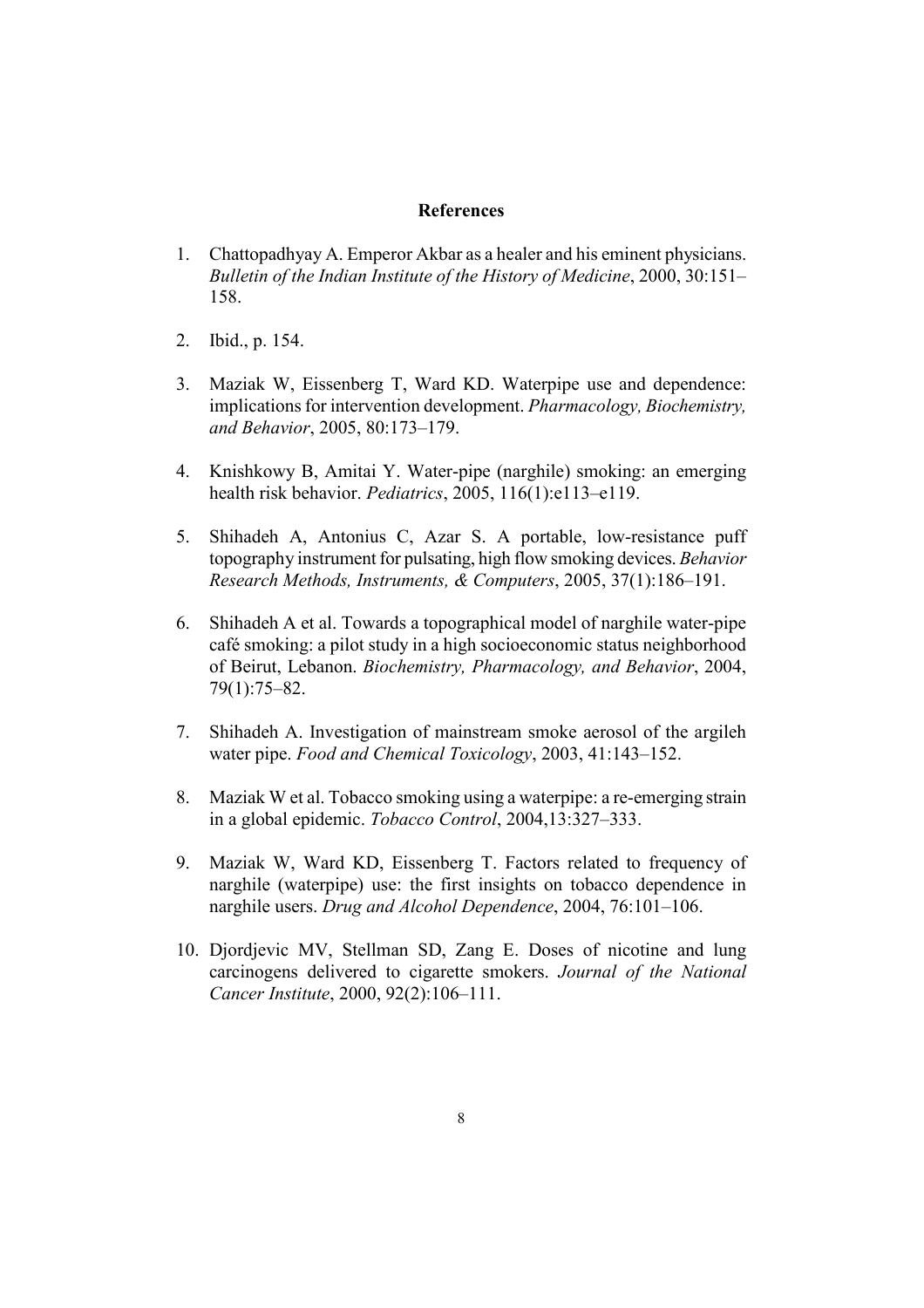#### **References**

- Chattopadhyay A. Emperor Akbar as a healer and his eminent physicians.  $1<sup>1</sup>$ Bulletin of the Indian Institute of the History of Medicine, 2000, 30:151-158
- $2<sup>1</sup>$ Ibid., p. 154.
- Maziak W, Eissenberg T, Ward KD. Waterpipe use and dependence:  $3<sub>1</sub>$ implications for intervention development. Pharmacology, Biochemistry, and Behavior, 2005, 80:173-179.
- 4. Knishkowy B, Amitai Y. Water-pipe (narghile) smoking: an emerging health risk behavior. *Pediatrics*, 2005, 116(1):e113-e119.
- Shihadeh A, Antonius C, Azar S. A portable, low-resistance puff  $5<sub>1</sub>$ topography instrument for pulsating, high flow smoking devices. Behavior Research Methods, Instruments, & Computers, 2005, 37(1):186-191.
- Shihadeh A et al. Towards a topographical model of narghile water-pipe 6. café smoking: a pilot study in a high socioeconomic status neighborhood of Beirut, Lebanon. Biochemistry, Pharmacology, and Behavior, 2004,  $79(1):75-82.$
- $7<sup>1</sup>$ Shihadeh A. Investigation of mainstream smoke aerosol of the argileh water pipe. Food and Chemical Toxicology, 2003, 41:143-152.
- 8. Maziak W et al. Tobacco smoking using a waterpipe: a re-emerging strain in a global epidemic. Tobacco Control, 2004, 13:327–333.
- 9. Maziak W, Ward KD, Eissenberg T. Factors related to frequency of narghile (waterpipe) use: the first insights on tobacco dependence in narghile users. Drug and Alcohol Dependence, 2004, 76:101-106.
- 10. Djordjevic MV, Stellman SD, Zang E. Doses of nicotine and lung carcinogens delivered to cigarette smokers. Journal of the National Cancer Institute, 2000, 92(2):106-111.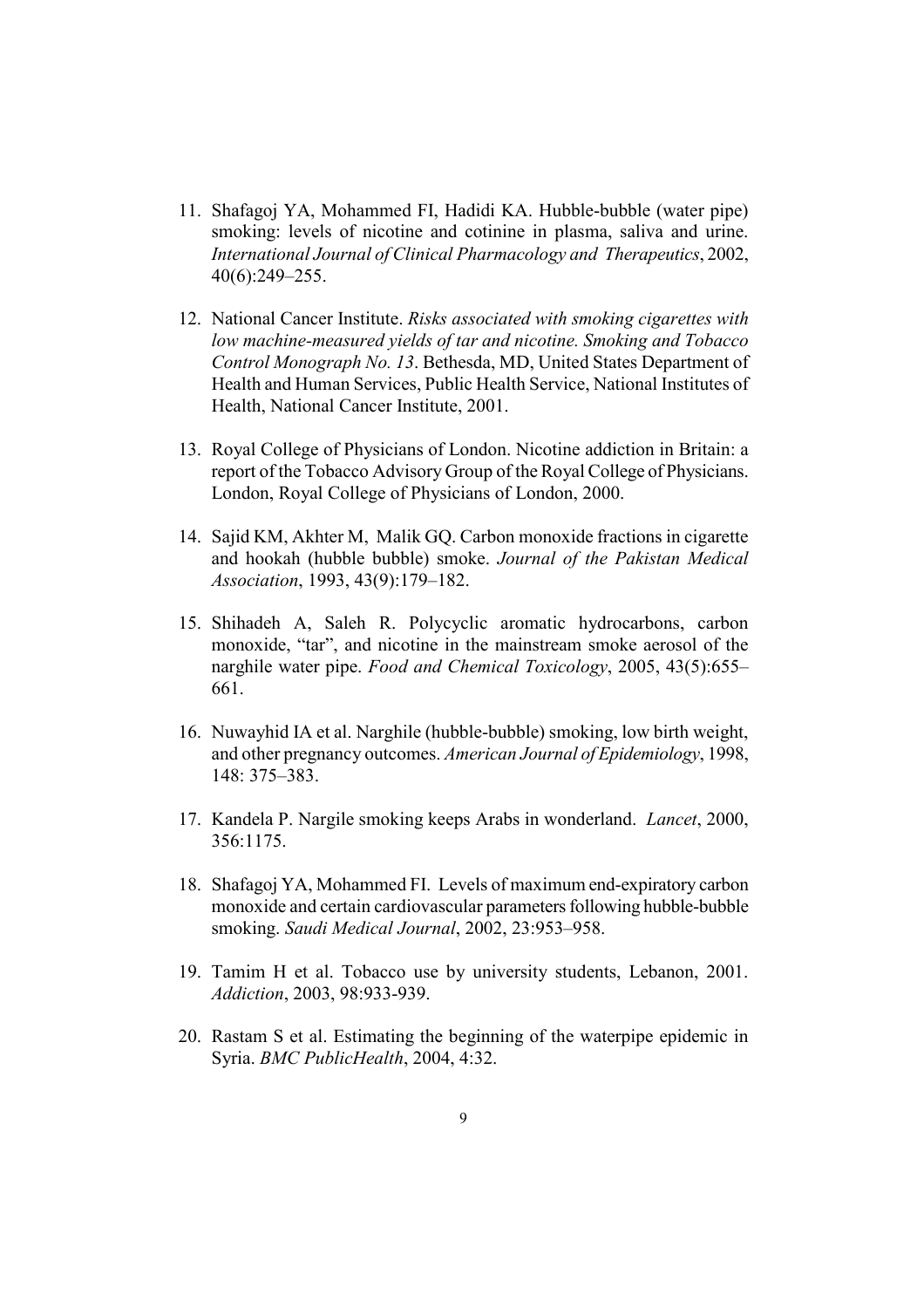- 11. Shafagoi YA, Mohammed FI, Hadidi KA, Hubble-bubble (water pipe) smoking: levels of nicotine and cotinine in plasma, saliva and urine. International Journal of Clinical Pharmacology and Therapeutics, 2002,  $40(6)$ : 249-255.
- 12. National Cancer Institute. Risks associated with smoking cigarettes with low machine-measured vields of tar and nicotine. Smoking and Tobacco Control Monograph No. 13. Bethesda, MD, United States Department of Health and Human Services, Public Health Service, National Institutes of Health, National Cancer Institute, 2001.
- 13. Royal College of Physicians of London. Nicotine addiction in Britain: a report of the Tobacco Advisory Group of the Royal College of Physicians. London, Royal College of Physicians of London, 2000.
- 14. Sajid KM, Akhter M, Malik GQ. Carbon monoxide fractions in cigarette and hookah (hubble bubble) smoke. Journal of the Pakistan Medical Association, 1993, 43(9):179-182.
- 15. Shihadeh A, Saleh R. Polycyclic aromatic hydrocarbons, carbon monoxide, "tar", and nicotine in the mainstream smoke aerosol of the narghile water pipe. Food and Chemical Toxicology, 2005, 43(5):655– 661.
- 16. Nuwayhid IA et al. Narghile (hubble-bubble) smoking, low birth weight, and other pregnancy outcomes. American Journal of Epidemiology, 1998, 148: 375-383.
- 17. Kandela P. Nargile smoking keeps Arabs in wonderland. *Lancet*, 2000, 356:1175.
- 18. Shafagoj YA, Mohammed FI. Levels of maximum end-expiratory carbon monoxide and certain cardiovascular parameters following hubble-bubble smoking. Saudi Medical Journal, 2002, 23:953–958.
- 19. Tamim H et al. Tobacco use by university students, Lebanon, 2001. Addiction, 2003, 98:933-939.
- 20. Rastam S et al. Estimating the beginning of the waterpipe epidemic in Syria. BMC PublicHealth, 2004, 4:32.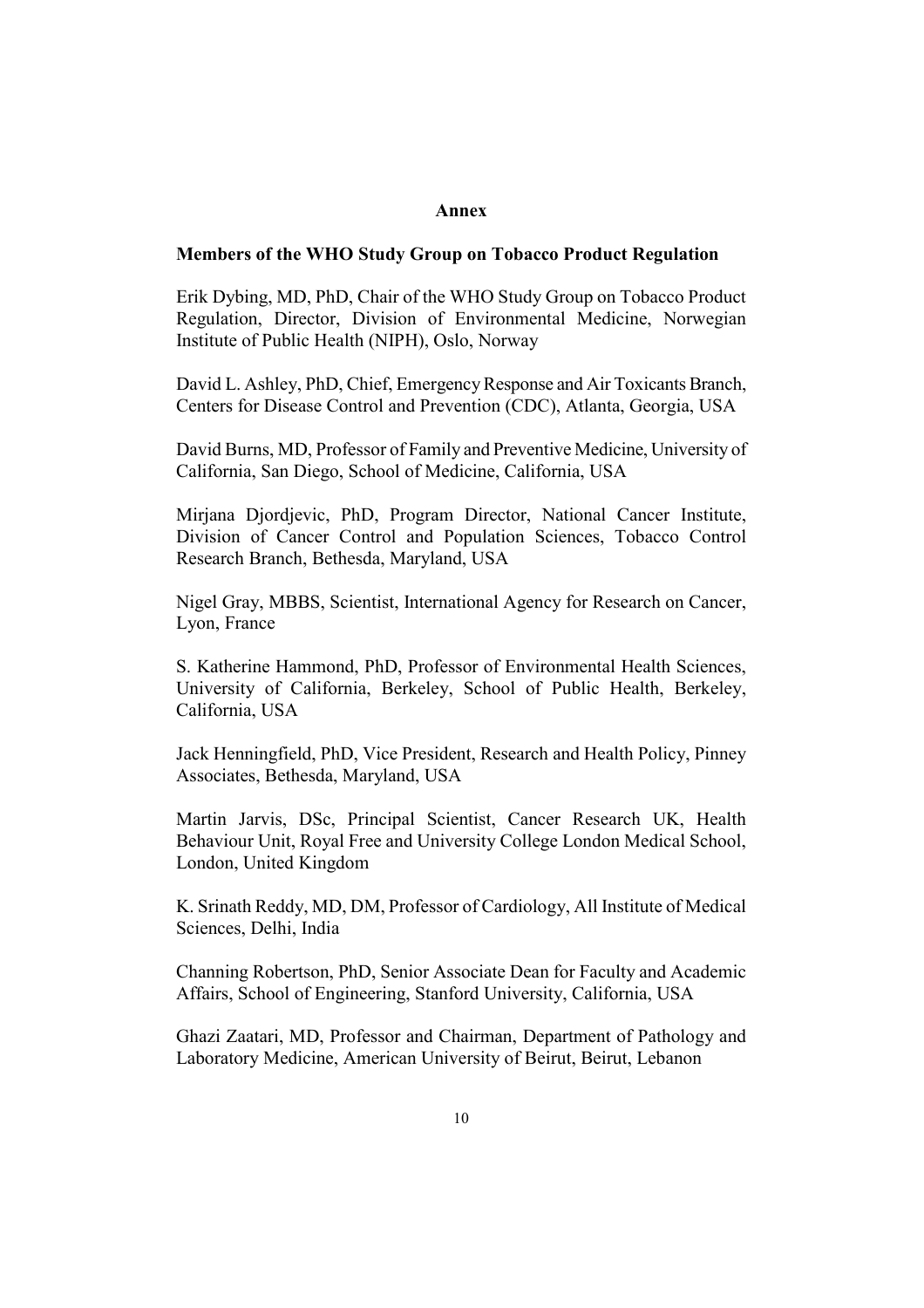#### Annex

#### Members of the WHO Study Group on Tobacco Product Regulation

Erik Dybing, MD, PhD, Chair of the WHO Study Group on Tobacco Product Regulation, Director, Division of Environmental Medicine, Norwegian Institute of Public Health (NIPH), Oslo, Norway

David L. Ashley, PhD, Chief, Emergency Response and Air Toxicants Branch, Centers for Disease Control and Prevention (CDC), Atlanta, Georgia, USA

David Burns, MD, Professor of Family and Preventive Medicine, University of California, San Diego, School of Medicine, California, USA

Miriana Diordievic, PhD, Program Director, National Cancer Institute, Division of Cancer Control and Population Sciences, Tobacco Control Research Branch, Bethesda, Maryland, USA

Nigel Gray, MBBS, Scientist, International Agency for Research on Cancer, Lyon, France

S. Katherine Hammond, PhD, Professor of Environmental Health Sciences, University of California, Berkeley, School of Public Health, Berkeley, California, USA

Jack Henningfield, PhD, Vice President, Research and Health Policy, Pinney Associates, Bethesda, Maryland, USA

Martin Jarvis, DSc, Principal Scientist, Cancer Research UK, Health Behaviour Unit, Royal Free and University College London Medical School, London, United Kingdom

K. Srinath Reddy, MD, DM, Professor of Cardiology, All Institute of Medical Sciences, Delhi, India

Channing Robertson, PhD, Senior Associate Dean for Faculty and Academic Affairs, School of Engineering, Stanford University, California, USA

Ghazi Zaatari, MD, Professor and Chairman, Department of Pathology and Laboratory Medicine, American University of Beirut, Beirut, Lebanon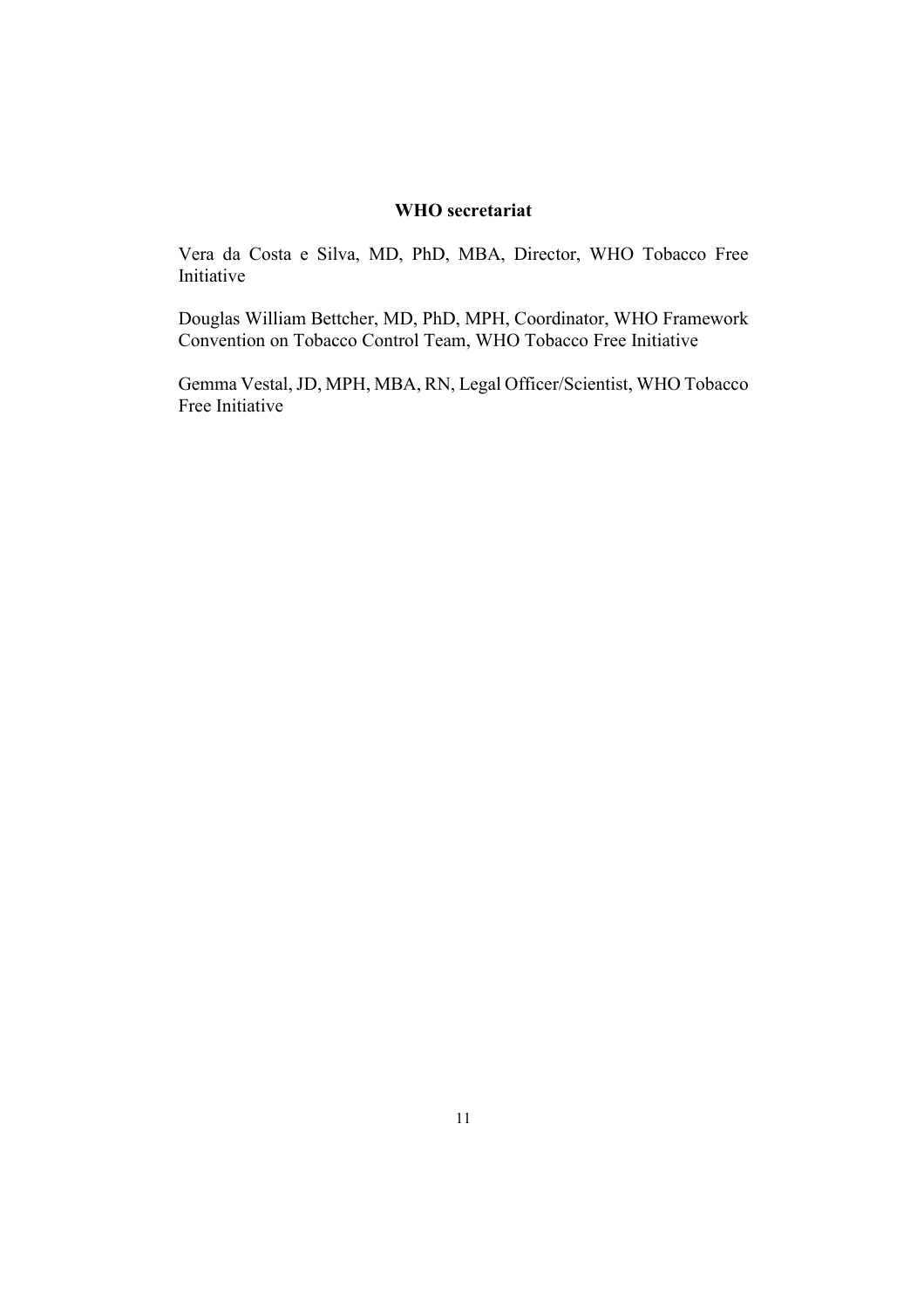#### WHO secretariat

Vera da Costa e Silva, MD, PhD, MBA, Director, WHO Tobacco Free Initiative

Douglas William Bettcher, MD, PhD, MPH, Coordinator, WHO Framework Convention on Tobacco Control Team, WHO Tobacco Free Initiative

Gemma Vestal, JD, MPH, MBA, RN, Legal Officer/Scientist, WHO Tobacco Free Initiative